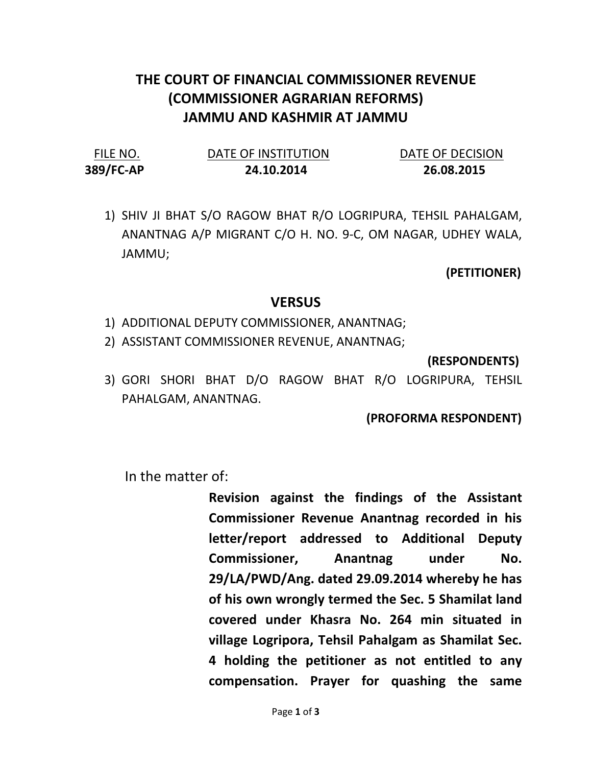## THE COURT OF FINANCIAL COMMISSIONER REVENUE (COMMISSIONER AGRARIAN REFORMS) JAMMU AND KASHMIR AT JAMMU

| FILE NO.  | DATE OF INSTITUTION | DATE OF DECISION |
|-----------|---------------------|------------------|
| 389/FC-AP | 24.10.2014          | 26.08.2015       |

1) SHIV JI BHAT S/O RAGOW BHAT R/O LOGRIPURA, TEHSIL PAHALGAM, ANANTNAG A/P MIGRANT C/O H. NO. 9-C, OM NAGAR, UDHEY WALA, JAMMU;

(PETITIONER)

## **VERSUS**

- 1) ADDITIONAL DEPUTY COMMISSIONER, ANANTNAG;
- 2) ASSISTANT COMMISSIONER REVENUE, ANANTNAG;

(RESPONDENTS)

3) GORI SHORI BHAT D/O RAGOW BHAT R/O LOGRIPURA, TEHSIL PAHALGAM, ANANTNAG.

(PROFORMA RESPONDENT)

In the matter of:

Revision against the findings of the Assistant Commissioner Revenue Anantnag recorded in his letter/report addressed to Additional Deputy Commissioner, Anantnag under No. 29/LA/PWD/Ang. dated 29.09.2014 whereby he has of his own wrongly termed the Sec. 5 Shamilat land covered under Khasra No. 264 min situated in village Logripora, Tehsil Pahalgam as Shamilat Sec. 4 holding the petitioner as not entitled to any compensation. Prayer for quashing the same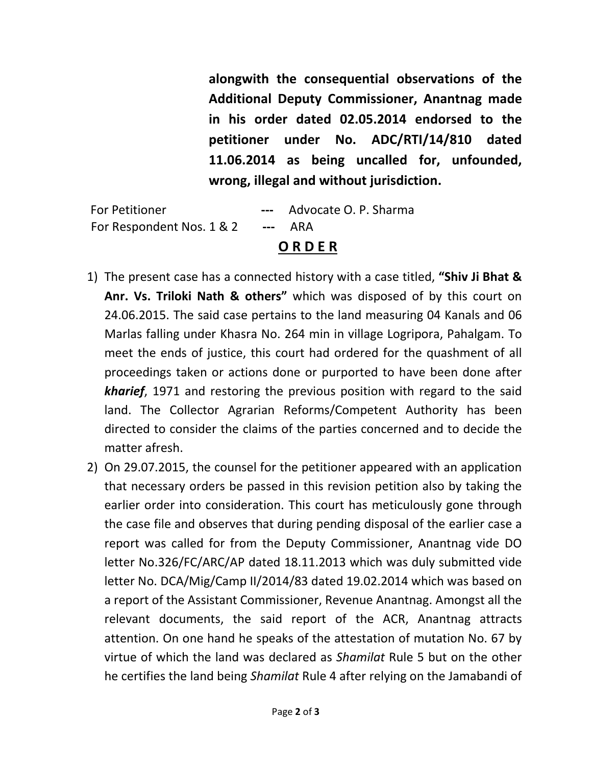alongwith the consequential observations of the Additional Deputy Commissioner, Anantnag made in his order dated 02.05.2014 endorsed to the petitioner under No. ADC/RTI/14/810 dated 11.06.2014 as being uncalled for, unfounded, wrong, illegal and without jurisdiction.

For Petitioner **---** Advocate O. P. Sharma For Respondent Nos. 1 & 2 --- ARA

## O R D E R

- 1) The present case has a connected history with a case titled, "Shiv Ji Bhat & Anr. Vs. Triloki Nath & others" which was disposed of by this court on 24.06.2015. The said case pertains to the land measuring 04 Kanals and 06 Marlas falling under Khasra No. 264 min in village Logripora, Pahalgam. To meet the ends of justice, this court had ordered for the quashment of all proceedings taken or actions done or purported to have been done after kharief, 1971 and restoring the previous position with regard to the said land. The Collector Agrarian Reforms/Competent Authority has been directed to consider the claims of the parties concerned and to decide the matter afresh.
- 2) On 29.07.2015, the counsel for the petitioner appeared with an application that necessary orders be passed in this revision petition also by taking the earlier order into consideration. This court has meticulously gone through the case file and observes that during pending disposal of the earlier case a report was called for from the Deputy Commissioner, Anantnag vide DO letter No.326/FC/ARC/AP dated 18.11.2013 which was duly submitted vide letter No. DCA/Mig/Camp II/2014/83 dated 19.02.2014 which was based on a report of the Assistant Commissioner, Revenue Anantnag. Amongst all the relevant documents, the said report of the ACR, Anantnag attracts attention. On one hand he speaks of the attestation of mutation No. 67 by virtue of which the land was declared as Shamilat Rule 5 but on the other he certifies the land being Shamilat Rule 4 after relying on the Jamabandi of